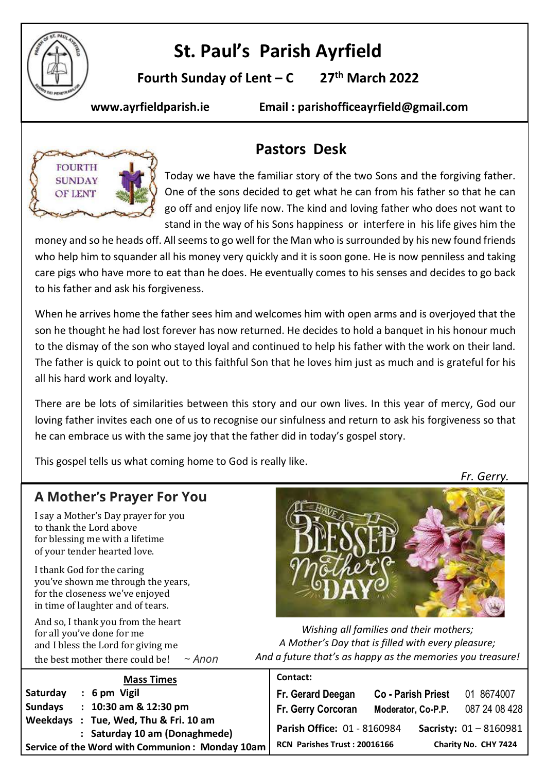

# **St. Paul's Parish Ayrfield**

**Fourth Sunday of Lent – C 27 th March 2022**

**www.ayrfieldparish.ie Email : parishofficeayrfield@gmail.com**



## **Pastors Desk**

Today we have the familiar story of the two Sons and the forgiving father. One of the sons decided to get what he can from his father so that he can go off and enjoy life now. The kind and loving father who does not want to stand in the way of his Sons happiness or interfere in his life gives him the

money and so he heads off. All seems to go well for the Man who is surrounded by his new found friends who help him to squander all his money very quickly and it is soon gone. He is now penniless and taking care pigs who have more to eat than he does. He eventually comes to his senses and decides to go back to his father and ask his forgiveness.

When he arrives home the father sees him and welcomes him with open arms and is overjoyed that the son he thought he had lost forever has now returned. He decides to hold a banquet in his honour much to the dismay of the son who stayed loyal and continued to help his father with the work on their land. The father is quick to point out to this faithful Son that he loves him just as much and is grateful for his all his hard work and loyalty.

There are be lots of similarities between this story and our own lives. In this year of mercy, God our loving father invites each one of us to recognise our sinfulness and return to ask his forgiveness so that he can embrace us with the same joy that the father did in today's gospel story.

This gospel tells us what coming home to God is really like.

*Fr. Gerry.*

### **A Mother's Prayer For You**

I say a Mother's Day prayer for you to thank the Lord above for blessing me with a lifetime of your tender hearted love.

I thank God for the caring you've shown me through the years, for the closeness we've enjoyed in time of laughter and of tears.

And so, I thank you from the heart for all you've done for me and I bless the Lord for giving me the best mother there could be! ~ *Anon*



*Wishing all families and their mothers; A Mother's Day that is filled with every pleasure; And a future that's as happy as the memories you treasure!*

| <b>Mass Times</b>                                                                | Contact:                     |                           |                                            |
|----------------------------------------------------------------------------------|------------------------------|---------------------------|--------------------------------------------|
| Saturday<br>$: 6 \text{ pm}$ Vigil                                               | Fr. Gerard Deegan            | <b>Co - Parish Priest</b> | 01 8674007                                 |
| $: 10:30$ am & 12:30 pm<br><b>Sundays</b>                                        | Fr. Gerry Corcoran           | Moderator, Co-P.P.        | 087 24 08 428                              |
| : Tue, Wed, Thu & Fri. 10 am<br>Weekdays                                         | Parish Office: 01 - 8160984  |                           | <b>Sacristy: <math>01 - 8160981</math></b> |
| : Saturday 10 am (Donaghmede)<br>Service of the Word with Communion: Monday 10am | RCN Parishes Trust: 20016166 |                           | Charity No. CHY 7424                       |